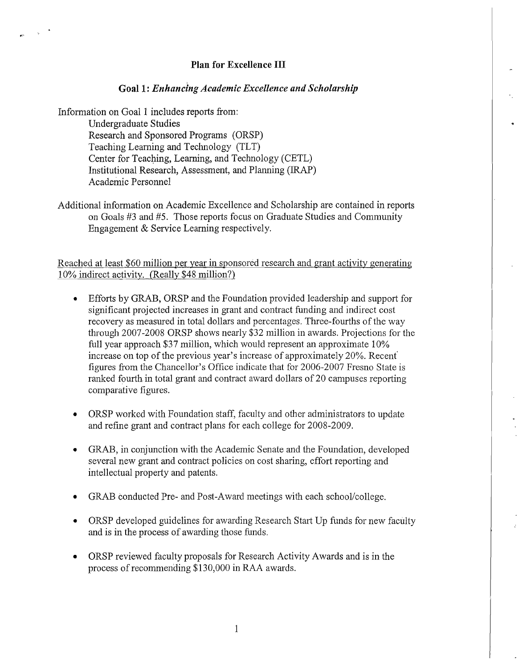### **Plan for Excellence III**

#### **Goall:** *Enhancing Academic Excellence and Scholarship*

Information on Goal 1 includes reports from: Undergraduate Studies Research and Sponsored Programs (ORSP) Teaching Learning and Technology (TLT) Center for Teaching, Learning, and Technology (CETL) Institutional Research, Assessment, and Planning (IRAP) Academic Personnel

Additional information on Academic Excellence and Scholarship are contained in reports on Goals #3 and #5. Those reports focus on Graduate Studies and Community Engagement & Service Learning respectively.

Reached at least \$60 million per year **in** sponsored research and grant activity generating 10% indirect activity. (Really \$48 million?) .

- Efforts by GRAB, ORSP and the Foundation provided leadership and support for significant projected increases in grant and contract funding and indirect cost recovery as measured in total dollars and percentages. Three-fourths of the way through 2007-2008 ORSP shows nearly \$32 million in awards. Projections for the full year approach \$37 million, which would represent an approximate 10% increase on top of the previous year's increase of approximately  $20\%$ . Recent figures from the Chancellor's Office indicate that for 2006-2007 Fresno State is ranked fourth in total grant and contract award dollars of 20 campuses reporting comparative figures.
- ORSP worked with Foundation staff, faculty and other administrators to update and refine grant and contract plans for each college for 2008-2009.
- GRAB, in conjunction with the Academic Senate and the Foundation, developed several new grant and contract policies on cost sharing, effort reporting and intellectual property and patents.
- GRAB conducted Pre- and Post-Award meetings with each school/college.
- ORSP developed guidelines for awarding Research Start Up funds for new faculty and is in the process of awarding those funds.
- ORSP reviewed faculty proposals for Research Activity Awards and is **in** the process of recommending \$130,000 in RAA awards.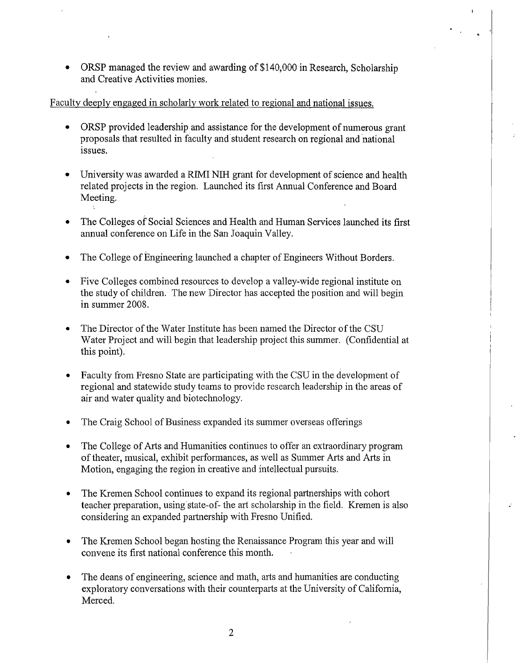• ORSP managed the review and awarding of \$140,000 in Research, Scholarship and Creative Activities monies.

## Faculty deeply engaged in scholarly work related to regional and national issues.

- ORSP provided leadership and assistance for the development of numerous grant proposals that resulted in faculty and student research on regional and national issues.
- University was awarded a RIMI NIH grant for development of science and health related projects in the region. Launched its first Annual Conference and Board Meeting.
- The Colleges of Social Sciences and Health and Human Services launched its first annual conference on Life in the San Joaquin Valley.
- The College of Engineering launched a chapter of Engineers Without Borders.
- Five Colleges combined resources to develop a valley-wide regional institute on the study of children. The new Director has accepted the position and will begin in summer 2008.
- The Director of the Water Institute has been named the Director of the CSU Water Project and will begin that leadership project this summer. (Confidential at this point).
- Faculty from Fresno State are participating with the CSU in the development of regional and statewide study teams to provide research leadership in the areas of air and water quality and biotechnology.
- The Craig School of Business expanded its summer overseas offerings
- The College of Arts and Humanities continues to offer an extraordinary program of theater, musical, exhibit performances, as well as Summer Arts and Arts in Motion, engaging the region in creative and intellectual pursuits.
- The Kremen School continues to expand its regional partnerships with cohort teacher preparation, using'state-of- the art scholarship in the field. Kremen is also considering an expanded partnership with Fresno Unified.
- The Kremen School began hosting the Renaissance Program this year and will convene its first national conference this month.
- The deans of engineering, science and math, arts and humanities are conducting exploratory conversations with their counterparts at the University of California, Merced.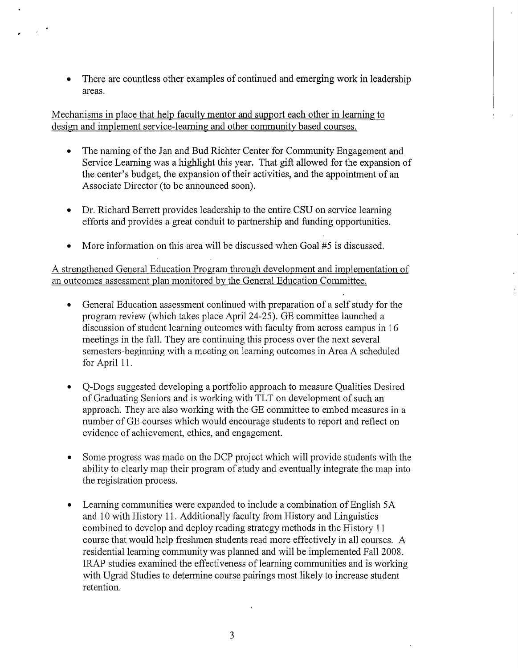There are countless other examples of continued and emerging work in leadership areas.

Mechanisms in place that help faculty mentor and support each other in learning to design and implement service-learning and other community based courses.

- The naming of the Jan and Bud Richter Center for Community Engagement and Service Learning was a highlight this year. That gift allowed for the expansion of the center's budget, the expansion of their activities, and the appointment of an Associate Director (to be announced soon).
- Dr. Richard Berrett provides leadership to the entire CSU on service learning efforts and provides a great conduit to partnership and funding opportunities.
- More information on this area will be discussed when Goal #5 is discussed.

A strengthened General Education Program through development and implementation of an outcomes assessment plan monitored by the General Education Committee.

- General Education assessment continued with preparation of a self study for the program review (which takes place April 24-25). GE committee launched a discussion of student learning outcomes with faculty from across campus in 16 meetings in the fall. They are continuing this process over the next several semesters-beginning with a meeting on learning outcomes in Area A scheduled for April 11.
- Q-Dogs suggested developing a portfolio approach to measure Qualities Desired of Graduating Seniors and is working with TLT on development of such an approach. They are also working with the GE committee to embed measures in a number of GE courses which would encourage students to report and reflect on evidence of achievement, ethics, and engagement.
- Some progress was made on the DCP project which will provide students with the ability to clearly map their program of study and eventually integrate the map into the registration process.
- Learning communities were expanded to include a combination of English 5A and 10 with History 11. Additionally faculty from History and Linguistics combined to develop and deploy reading strategy methods in the History 11 course that would help freshmen students read more effectively in all courses. A residential learning community was planned and will be implemented Fall 2008. IRAP studies examined the effectiveness of learning communities and is working with Ugrad Studies to determine course pairings most likely to increase student retention.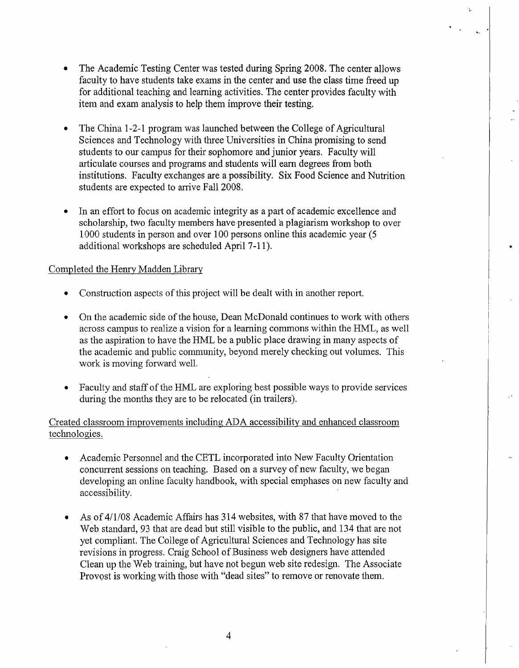- The Academic Testing Center was tested during Spring 2008. The center allows faculty to have students take exams in the center and use the class time freed up for additional teaching and learning activities. The center provides faculty with item and exam analysis to help them improve their testing.
- The China 1-2-1 program was launched between the College of Agricultural Sciences and Technology with three Universities in China promising to send students to our campus for their sophomore and junior years. Faculty will articulate courses and programs and students will earn degrees from both institutions. Faculty exchanges are a possibility. Six Food Science and Nutrition students are expected to arrive Fall 2008.
- In an effort to focus on academic integrity as a part of academic excellence and scholarship, two faculty members have presented 'a plagiarism workshop to over 1000 students in person and over 100 persons online this academic year (5 additional workshops are scheduled April 7-11).

•

### Completed the Henry Madden Library

- Construction aspects of this project will be dealt with in another report.
- On the academic side of the house, Dean McDonald continues to work with others across campus to realize a vision for a learning commons within the HML, as well as the aspiration to have the HML be a public place drawing in many aspects of the academic and public community, beyond merely checking out volumes. This work is moving forward well.
- Faculty and staff of the HML are exploring best possible ways to provide services during the months they are to be relocated (in trailers).

Created classroom improvements including ADA accessibility and enhanced classroom technologies.

- Academic Personnel and the CETL incorporated into New Faculty Orientation concurrent sessions on teaching. Based on a survey of new faculty, we began developing an online faculty handbook, with special emphases on new faculty and accessibility.
- As of 4/1/08 Academic Affairs has 314 websites, with 87 that have moved to the Web standard, 93 that are dead but still visible to the public, and 134 that are not yet compliant. The College of Agricultural Sciences and Technology has site revisions in progress. Craig School of Business web designers have attended Clean up the Web training, but have not begun web site redesign. The Associate Provost is working with those with "dead sites" to remove or renovate them.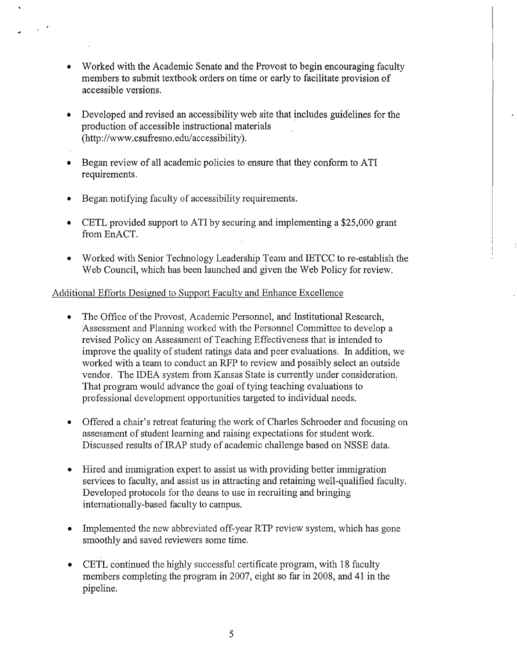- Worked with the Academic Senate and the Provost to begin encouraging faculty members to submit textbook orders on time or early to facilitate provision of accessible versions.
- Developed and revised an accessibility web site that includes guidelines for the production of accessible instructional materials . (http://www.csufresno.edu/accessibility).
- Began review of all academic policies to ensure that they conform to ATI requirements.
- Began notifying faculty of accessibility requirements.

 $\frac{1}{2}$  ,  $\frac{1}{2}$ 

- CETL provided support to AT! by securing and implementing a \$25,000 grant from EnACT.
- Worked with Sernor Technology Leadership Team and IETCC to re-establish the Web Council, which has been launched and given the Web Policy for review.

## Additional Efforts Designed to Support Faculty and Enhance Excellence

- The Office of the Provost, Academic Personnel, and Institutional Research, Assessment and Planning worked with the Personnel Committee to develop a revised Policy on Assessment of Teaching Effectiveness that is intended to improve the quality of student ratings data and peer evaluations. In addition, we worked with a team to conduct an RFP to review and possibly select an outside vendor. The IDEA system from Kansas State is currently under consideration. That program would advance the goal of tying teaching evaluations to professional development opportunities targeted to individual needs.
- Offered a chair's retreat featuring the work of Charles Schroeder and focusing on assessment of student learning and raising expectations for student work. Discussed results of IRAP study of academic challenge based on NSSE data.
- Hired and immigration expert to assist us with providing better immigration services to faculty, and assist us in attracting and retaining well-qualified faculty. Developed protocols for the deans to use in recruiting and bringing internationally-based faculty to campus.
- Implemented the new abbreviated off-year RTP review system, which has gone smoothly and saved reviewers some time.
- CETL continued the highly successful certificate program, with 18 faculty members completing the program in 2007, eight so far in 2008, and 41 in the pipeline.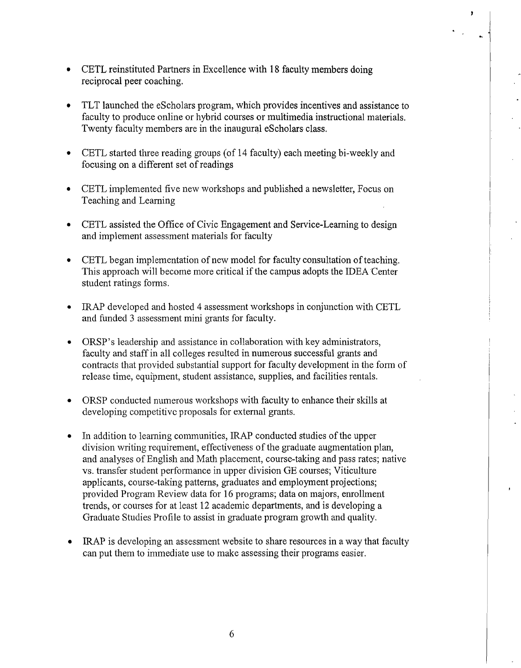- CETL reinstituted Partners in Excellence with 18 faculty members doing reciprocal peer coaching.
- TLT launched the eScholars program, which provides incentives and assistance to faculty to produce online or hybrid courses or multimedia instructional materials. Twenty faculty members are in the inaugural eScholars class.
- CETL started three reading groups (of 14 faculty) each meeting bi-weekly and focusing on a different set of readings
- CETL implemented five new workshops and published a newsletter, Focus on Teaching and Learning
- CETL assisted the Office of Civic Engagement and Service-Learning to design and implement assessment materials for facuity
- CETL began implementation of new model for faculty consultation of teaching. This approach will become more critical if the campus adopts the IDEA Center student ratings forms.
- IRAP developed and hosted 4 assessment workshops in conjunction with CETL and funded 3 assessment mini grants for faculty.
- ORSP's leadership and assistance in collaboration with key administrators, faculty and staff in all colleges resulted in numerous successful grants and contracts that provided substantial support for faculty development in the form of release time, equipment, student assistance, supplies, and facilities rentals.
- ORSP conducted numerous workshops with faculty to enhance their skills at developing competitive proposals for external grants.
- In addition to learning communities, IRAP conducted studies of the upper division writing requirement, effectiveness of the graduate augmentation plan, and analyses of English and Math placement, course-taking and pass rates; native vs. transfer student performance in upper division GE courses; Viticulture applicants, course-taking patterns, graduates and employment projections; provided Program Review data for 16 programs; data on majors, enrollment trends, or courses for at least 12 academic departments, and is developing a Graduate Studies Profile to assist in graduate program growth and quality.
- IRAP is developing an assessment website to share resources in a way that faculty can put them to immediate use to make assessing their programs easier.